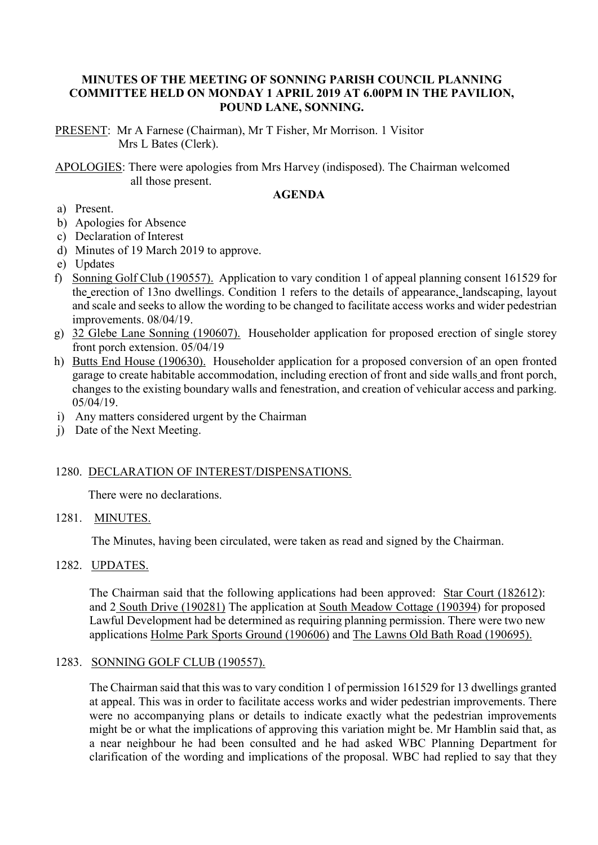# **MINUTES OF THE MEETING OF SONNING PARISH COUNCIL PLANNING COMMITTEE HELD ON MONDAY 1 APRIL 2019 AT 6.00PM IN THE PAVILION, POUND LANE, SONNING.**

PRESENT: Mr A Farnese (Chairman), Mr T Fisher, Mr Morrison. 1 Visitor Mrs L Bates (Clerk).

APOLOGIES: There were apologies from Mrs Harvey (indisposed). The Chairman welcomed all those present.

#### **AGENDA**

- a) Present.
- b) Apologies for Absence
- c) Declaration of Interest
- d) Minutes of 19 March 2019 to approve.
- e) Updates
- f) Sonning Golf Club (190557). Application to vary condition 1 of appeal planning consent 161529 for the erection of 13no dwellings. Condition 1 refers to the details of appearance, landscaping, layout and scale and seeks to allow the wording to be changed to facilitate access works and wider pedestrian improvements. 08/04/19.
- g) 32 Glebe Lane Sonning (190607). Householder application for proposed erection of single storey front porch extension. 05/04/19
- h) Butts End House (190630). Householder application for a proposed conversion of an open fronted garage to create habitable accommodation, including erection of front and side walls and front porch, changes to the existing boundary walls and fenestration, and creation of vehicular access and parking. 05/04/19.
- i) Any matters considered urgent by the Chairman
- j) Date of the Next Meeting.

#### 1280. DECLARATION OF INTEREST/DISPENSATIONS.

There were no declarations.

### 1281. MINUTES.

The Minutes, having been circulated, were taken as read and signed by the Chairman.

# 1282. UPDATES.

The Chairman said that the following applications had been approved: Star Court (182612): and 2 South Drive (190281) The application at South Meadow Cottage (190394) for proposed Lawful Development had be determined as requiring planning permission. There were two new applications Holme Park Sports Ground (190606) and The Lawns Old Bath Road (190695).

### 1283. SONNING GOLF CLUB (190557).

The Chairman said that this was to vary condition 1 of permission 161529 for 13 dwellings granted at appeal. This was in order to facilitate access works and wider pedestrian improvements. There were no accompanying plans or details to indicate exactly what the pedestrian improvements might be or what the implications of approving this variation might be. Mr Hamblin said that, as a near neighbour he had been consulted and he had asked WBC Planning Department for clarification of the wording and implications of the proposal. WBC had replied to say that they